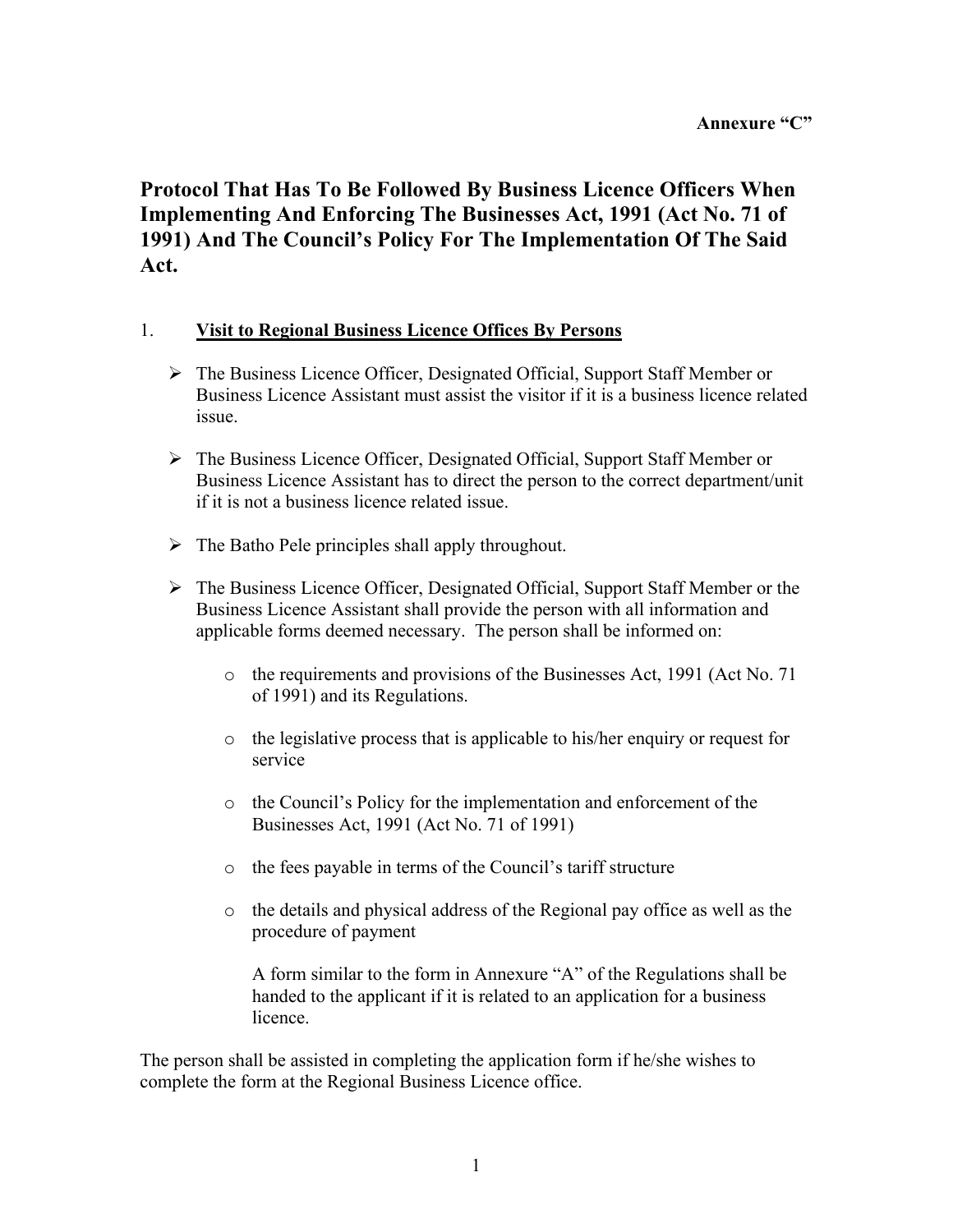**Protocol That Has To Be Followed By Business Licence Officers When Implementing And Enforcing The Businesses Act, 1991 (Act No. 71 of 1991) And The Council's Policy For The Implementation Of The Said Act.** 

#### 1. **Visit to Regional Business Licence Offices By Persons**

- ¾The Business Licence Officer, Designated Official, Support Staff Member or Business Licence Assistant must assist the visitor if it is a business licence related issue.
- $\triangleright$  The Business Licence Officer, Designated Official, Support Staff Member or Business Licence Assistant has to direct the person to the correct department/unit if it is not a business licence related issue.
- $\triangleright$  The Batho Pele principles shall apply throughout.
- ¾The Business Licence Officer, Designated Official, Support Staff Member or the Business Licence Assistant shall provide the person with all information and applicable forms deemed necessary. The person shall be informed on:
	- o the requirements and provisions of the Businesses Act, 1991 (Act No. 71 of 1991) and its Regulations.
	- o the legislative process that is applicable to his/her enquiry or request for service
	- $\circ$  the Council's Policy for the implementation and enforcement of the Businesses Act, 1991 (Act No. 71 of 1991)
	- $\circ$  the fees payable in terms of the Council's tariff structure
	- o the details and physical address of the Regional pay office as well as the procedure of payment

A form similar to the form in Annexure "A" of the Regulations shall be handed to the applicant if it is related to an application for a business licence.

The person shall be assisted in completing the application form if he/she wishes to complete the form at the Regional Business Licence office.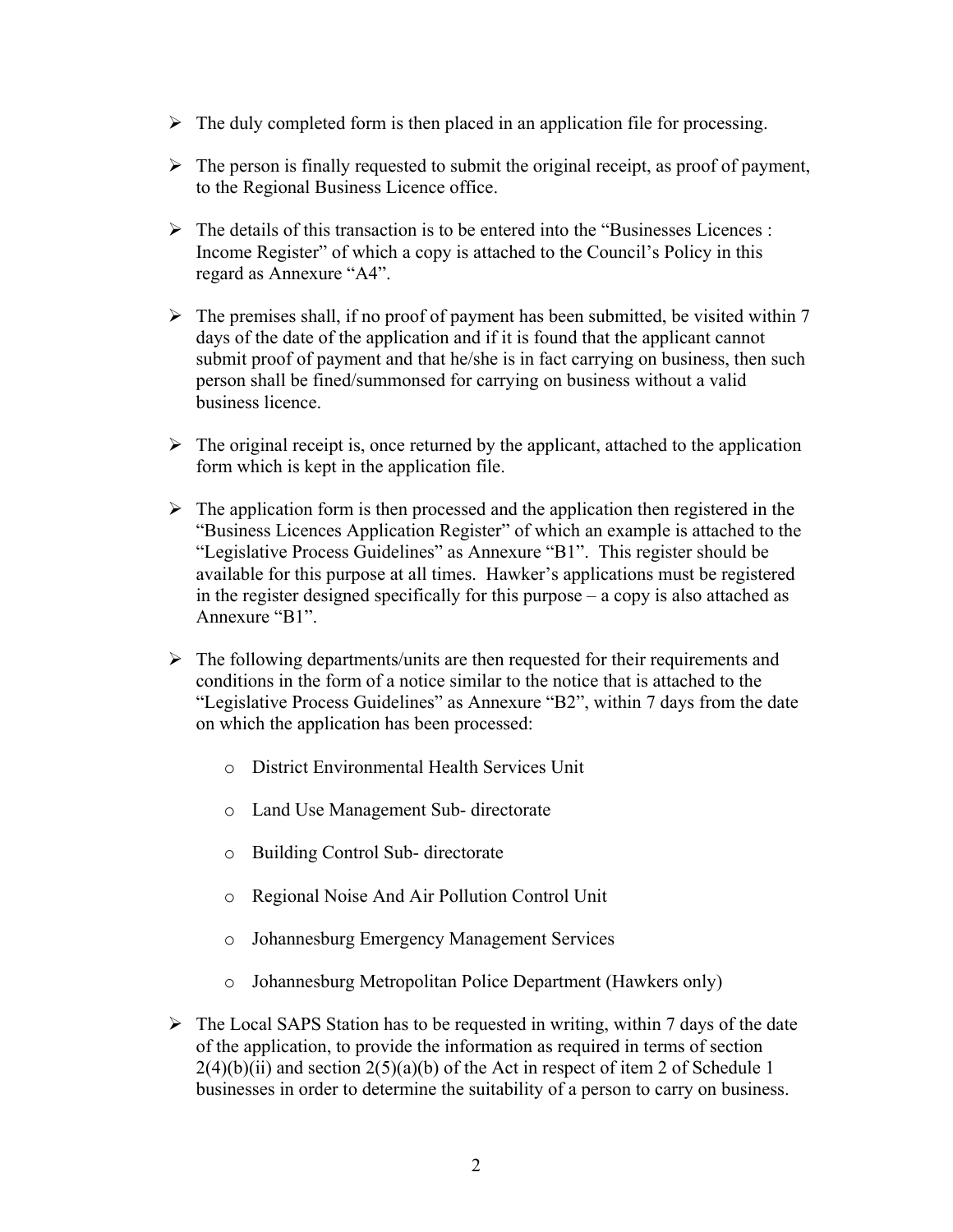- $\triangleright$  The duly completed form is then placed in an application file for processing.
- $\triangleright$  The person is finally requested to submit the original receipt, as proof of payment, to the Regional Business Licence office.
- $\triangleright$  The details of this transaction is to be entered into the "Businesses Licences : Income Register" of which a copy is attached to the Council's Policy in this regard as Annexure "A4".
- $\triangleright$  The premises shall, if no proof of payment has been submitted, be visited within 7 days of the date of the application and if it is found that the applicant cannot submit proof of payment and that he/she is in fact carrying on business, then such person shall be fined/summonsed for carrying on business without a valid business licence.
- $\triangleright$  The original receipt is, once returned by the applicant, attached to the application form which is kept in the application file.
- $\triangleright$  The application form is then processed and the application then registered in the "Business Licences Application Register" of which an example is attached to the "Legislative Process Guidelines" as Annexure "B1". This register should be available for this purpose at all times. Hawker's applications must be registered in the register designed specifically for this purpose  $-\alpha$  copy is also attached as Annexure "B1".
- $\triangleright$  The following departments/units are then requested for their requirements and conditions in the form of a notice similar to the notice that is attached to the "Legislative Process Guidelines" as Annexure "B2", within 7 days from the date on which the application has been processed:
	- o District Environmental Health Services Unit
	- o Land Use Management Sub- directorate
	- o Building Control Sub- directorate
	- o Regional Noise And Air Pollution Control Unit
	- o Johannesburg Emergency Management Services
	- o Johannesburg Metropolitan Police Department (Hawkers only)
- $\triangleright$  The Local SAPS Station has to be requested in writing, within 7 days of the date of the application, to provide the information as required in terms of section  $2(4)(b)(ii)$  and section  $2(5)(a)(b)$  of the Act in respect of item 2 of Schedule 1 businesses in order to determine the suitability of a person to carry on business.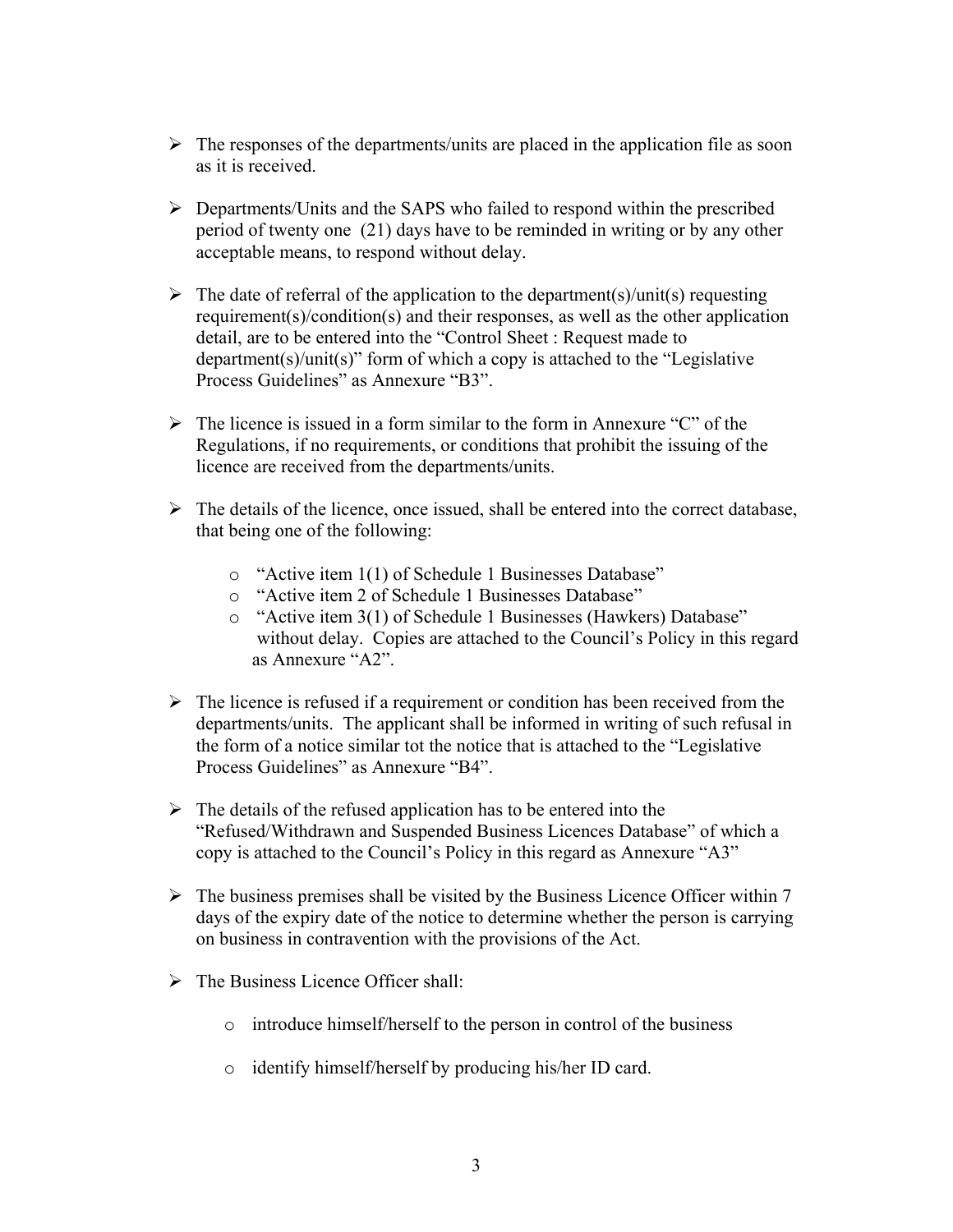- $\triangleright$  The responses of the departments/units are placed in the application file as soon as it is received.
- ¾Departments/Units and the SAPS who failed to respond within the prescribed period of twenty one (21) days have to be reminded in writing or by any other acceptable means, to respond without delay.
- $\triangleright$  The date of referral of the application to the department(s)/unit(s) requesting requirement(s)/condition(s) and their responses, as well as the other application detail, are to be entered into the "Control Sheet : Request made to department(s)/unit(s)" form of which a copy is attached to the "Legislative" Process Guidelines" as Annexure "B3".
- $\triangleright$  The licence is issued in a form similar to the form in Annexure "C" of the Regulations, if no requirements, or conditions that prohibit the issuing of the licence are received from the departments/units.
- $\triangleright$  The details of the licence, once issued, shall be entered into the correct database, that being one of the following:
	- $\circ$  "Active item 1(1) of Schedule 1 Businesses Database"
	- o "Active item 2 of Schedule 1 Businesses Database"
	- o "Active item 3(1) of Schedule 1 Businesses (Hawkers) Database" without delay. Copies are attached to the Council's Policy in this regard as Annexure "A2".
- $\triangleright$  The licence is refused if a requirement or condition has been received from the departments/units. The applicant shall be informed in writing of such refusal in the form of a notice similar tot the notice that is attached to the "Legislative" Process Guidelines" as Annexure "B4".
- $\triangleright$  The details of the refused application has to be entered into the "Refused/Withdrawn and Suspended Business Licences Database" of which a copy is attached to the Council's Policy in this regard as Annexure "A3"
- $\triangleright$  The business premises shall be visited by the Business Licence Officer within 7 days of the expiry date of the notice to determine whether the person is carrying on business in contravention with the provisions of the Act.
- $\triangleright$  The Business Licence Officer shall:
	- o introduce himself/herself to the person in control of the business
	- o identify himself/herself by producing his/her ID card.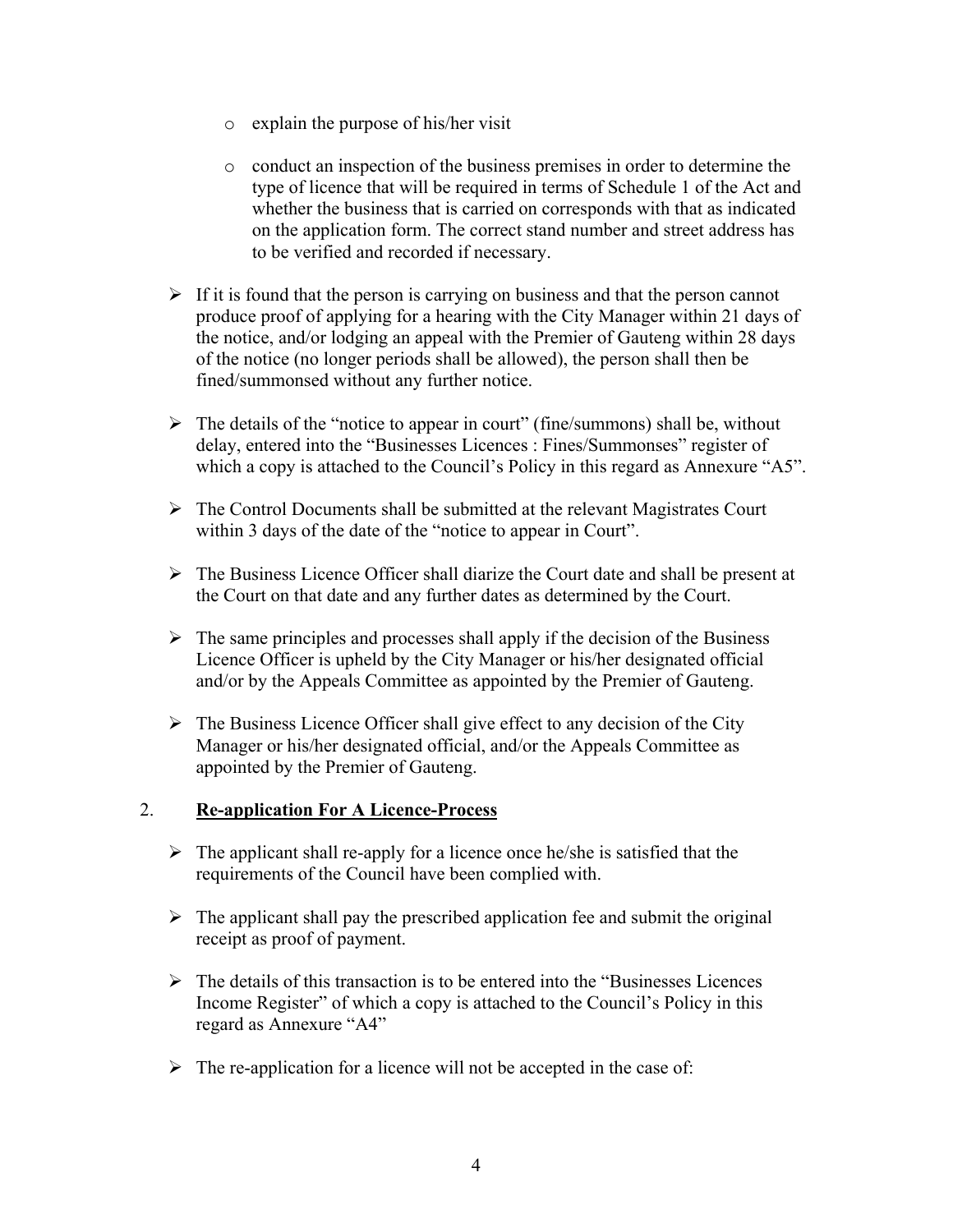- o explain the purpose of his/her visit
- o conduct an inspection of the business premises in order to determine the type of licence that will be required in terms of Schedule 1 of the Act and whether the business that is carried on corresponds with that as indicated on the application form. The correct stand number and street address has to be verified and recorded if necessary.
- $\triangleright$  If it is found that the person is carrying on business and that the person cannot produce proof of applying for a hearing with the City Manager within 21 days of the notice, and/or lodging an appeal with the Premier of Gauteng within 28 days of the notice (no longer periods shall be allowed), the person shall then be fined/summonsed without any further notice.
- $\triangleright$  The details of the "notice to appear in court" (fine/summons) shall be, without delay, entered into the "Businesses Licences : Fines/Summonses" register of which a copy is attached to the Council's Policy in this regard as Annexure "A5".
- $\triangleright$  The Control Documents shall be submitted at the relevant Magistrates Court within 3 days of the date of the "notice to appear in Court".
- $\triangleright$  The Business Licence Officer shall diarize the Court date and shall be present at the Court on that date and any further dates as determined by the Court.
- $\triangleright$  The same principles and processes shall apply if the decision of the Business Licence Officer is upheld by the City Manager or his/her designated official and/or by the Appeals Committee as appointed by the Premier of Gauteng.
- $\triangleright$  The Business Licence Officer shall give effect to any decision of the City Manager or his/her designated official, and/or the Appeals Committee as appointed by the Premier of Gauteng.

## 2. **Re-application For A Licence-Process**

- $\triangleright$  The applicant shall re-apply for a licence once he/she is satisfied that the requirements of the Council have been complied with.
- $\triangleright$  The applicant shall pay the prescribed application fee and submit the original receipt as proof of payment.
- $\triangleright$  The details of this transaction is to be entered into the "Businesses Licences" Income Register" of which a copy is attached to the Council's Policy in this regard as Annexure "A4"
- $\triangleright$  The re-application for a licence will not be accepted in the case of: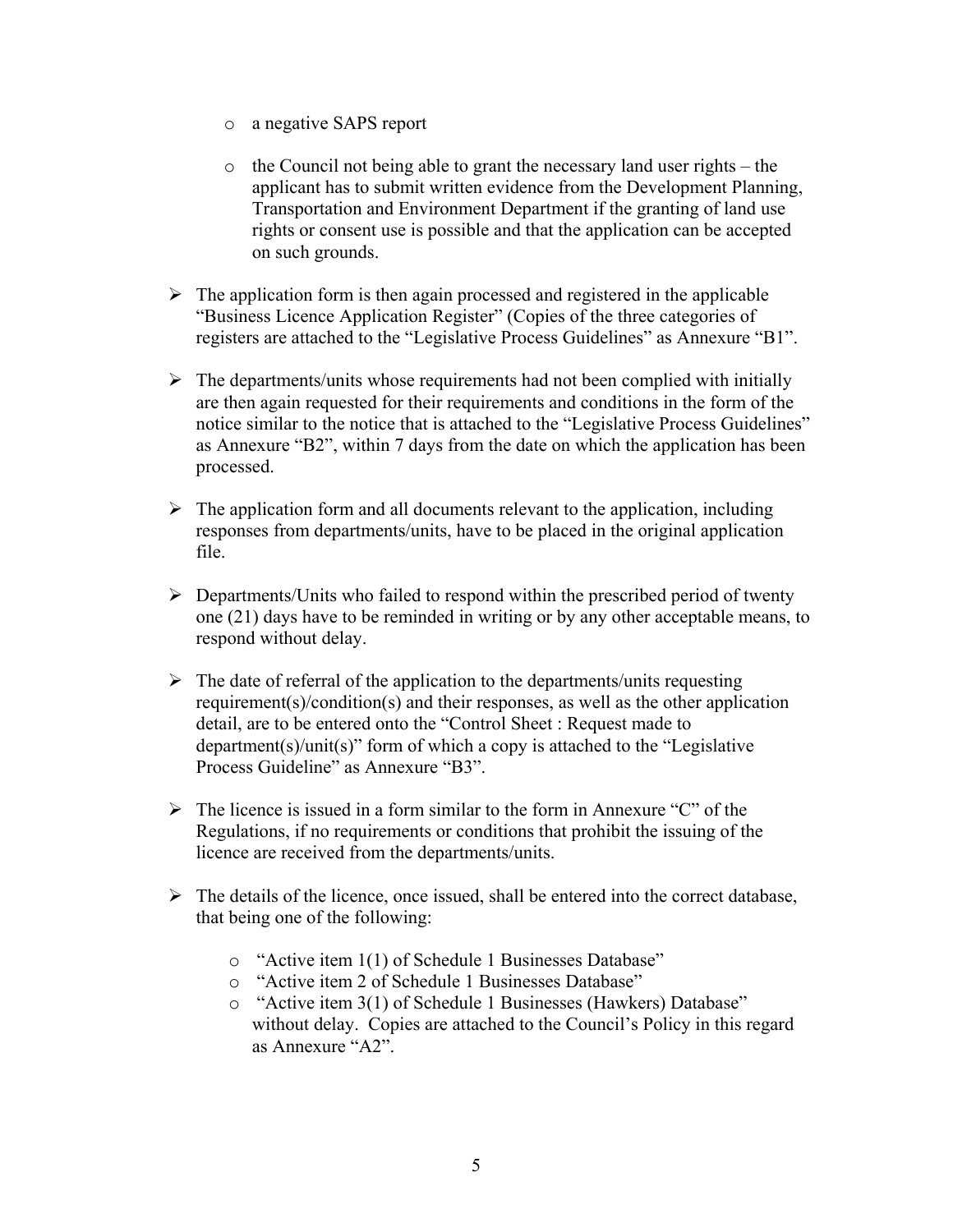- o a negative SAPS report
- $\circ$  the Council not being able to grant the necessary land user rights the applicant has to submit written evidence from the Development Planning, Transportation and Environment Department if the granting of land use rights or consent use is possible and that the application can be accepted on such grounds.
- $\triangleright$  The application form is then again processed and registered in the applicable "Business Licence Application Register" (Copies of the three categories of registers are attached to the "Legislative Process Guidelines" as Annexure "B1".
- $\triangleright$  The departments/units whose requirements had not been complied with initially are then again requested for their requirements and conditions in the form of the notice similar to the notice that is attached to the "Legislative Process Guidelines" as Annexure "B2", within 7 days from the date on which the application has been processed.
- $\triangleright$  The application form and all documents relevant to the application, including responses from departments/units, have to be placed in the original application file.
- $\triangleright$  Departments/Units who failed to respond within the prescribed period of twenty one (21) days have to be reminded in writing or by any other acceptable means, to respond without delay.
- $\triangleright$  The date of referral of the application to the departments/units requesting requirement(s)/condition(s) and their responses, as well as the other application detail, are to be entered onto the "Control Sheet : Request made to department(s)/unit(s)" form of which a copy is attached to the "Legislative" Process Guideline" as Annexure "B3".
- $\triangleright$  The licence is issued in a form similar to the form in Annexure "C" of the Regulations, if no requirements or conditions that prohibit the issuing of the licence are received from the departments/units.
- $\triangleright$  The details of the licence, once issued, shall be entered into the correct database, that being one of the following:
	- $\circ$  "Active item 1(1) of Schedule 1 Businesses Database"
	- o "Active item 2 of Schedule 1 Businesses Database"
	- o "Active item 3(1) of Schedule 1 Businesses (Hawkers) Database" without delay. Copies are attached to the Council's Policy in this regard as Annexure " $A2$ ".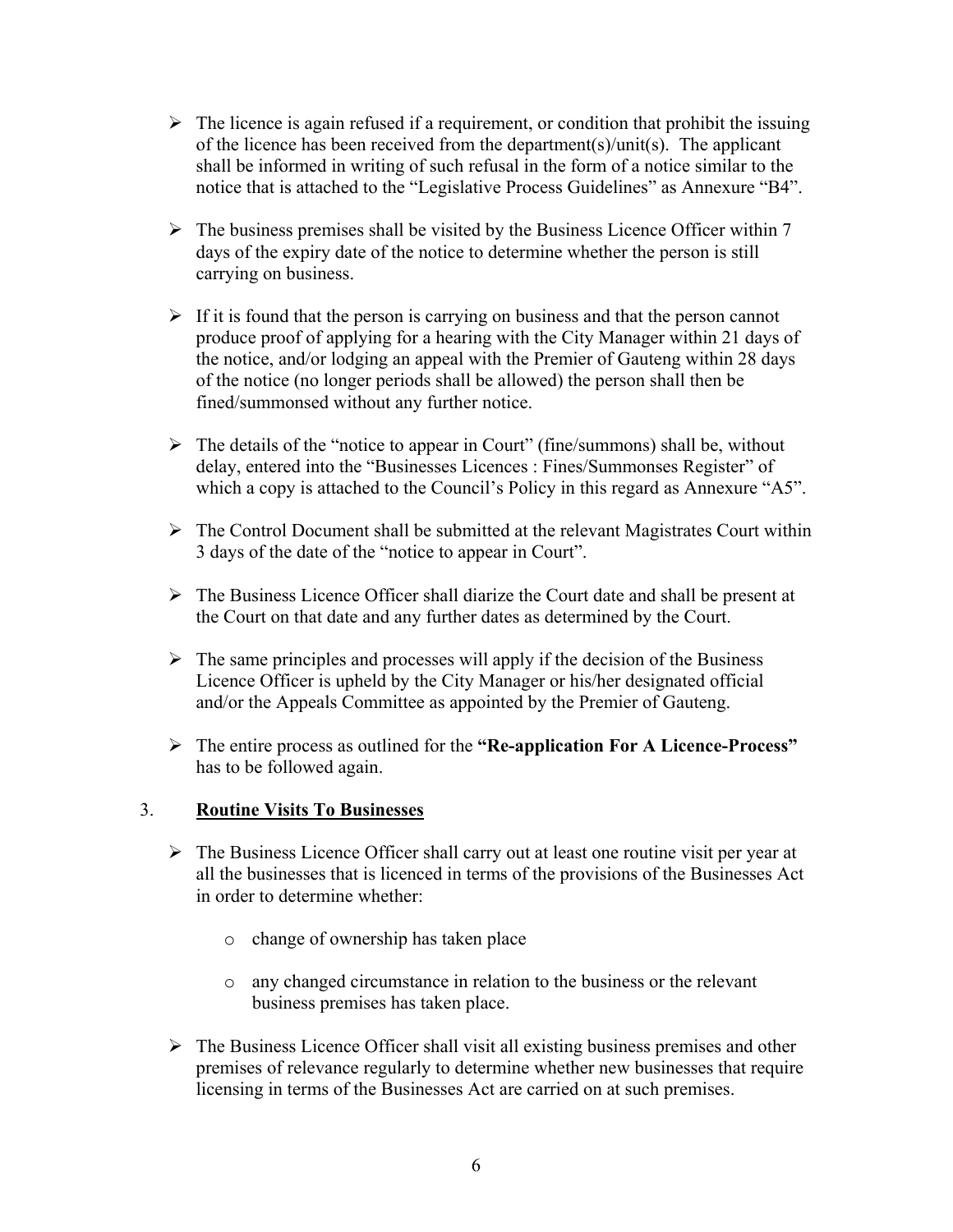- $\triangleright$  The licence is again refused if a requirement, or condition that prohibit the issuing of the licence has been received from the department(s)/unit(s). The applicant shall be informed in writing of such refusal in the form of a notice similar to the notice that is attached to the "Legislative Process Guidelines" as Annexure "B4".
- $\triangleright$  The business premises shall be visited by the Business Licence Officer within 7 days of the expiry date of the notice to determine whether the person is still carrying on business.
- $\triangleright$  If it is found that the person is carrying on business and that the person cannot produce proof of applying for a hearing with the City Manager within 21 days of the notice, and/or lodging an appeal with the Premier of Gauteng within 28 days of the notice (no longer periods shall be allowed) the person shall then be fined/summonsed without any further notice.
- $\triangleright$  The details of the "notice to appear in Court" (fine/summons) shall be, without delay, entered into the "Businesses Licences : Fines/Summonses Register" of which a copy is attached to the Council's Policy in this regard as Annexure "A5".
- $\triangleright$  The Control Document shall be submitted at the relevant Magistrates Court within 3 days of the date of the "notice to appear in Court".
- $\triangleright$  The Business Licence Officer shall diarize the Court date and shall be present at the Court on that date and any further dates as determined by the Court.
- $\triangleright$  The same principles and processes will apply if the decision of the Business Licence Officer is upheld by the City Manager or his/her designated official and/or the Appeals Committee as appointed by the Premier of Gauteng.
- ¾The entire process as outlined for the **(Re-application For A Licence-Process\*** has to be followed again.

## 3. **Routine Visits To Businesses**

- $\triangleright$  The Business Licence Officer shall carry out at least one routine visit per year at all the businesses that is licenced in terms of the provisions of the Businesses Act in order to determine whether:
	- o change of ownership has taken place
	- o any changed circumstance in relation to the business or the relevant business premises has taken place.
- $\triangleright$  The Business Licence Officer shall visit all existing business premises and other premises of relevance regularly to determine whether new businesses that require licensing in terms of the Businesses Act are carried on at such premises.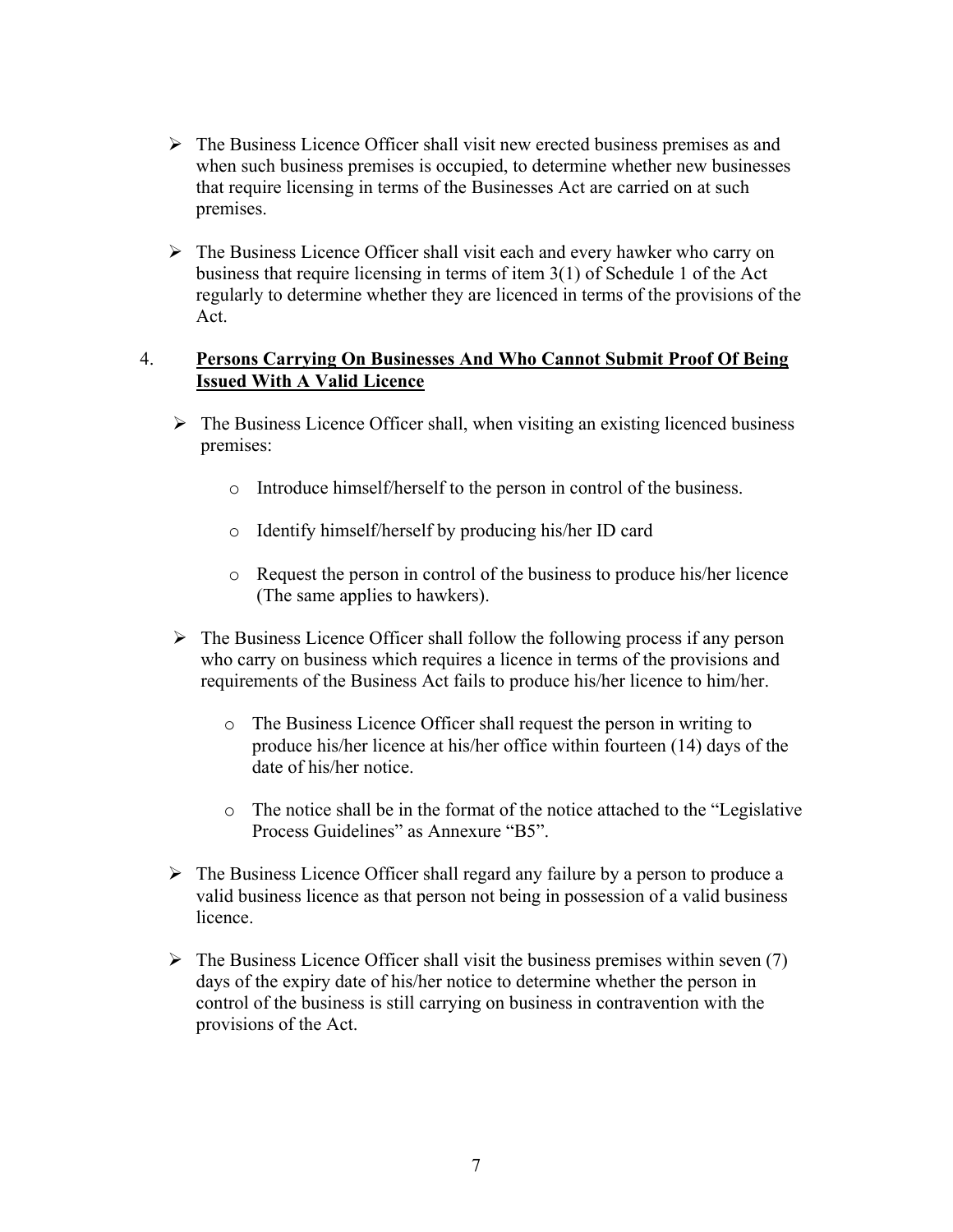- $\triangleright$  The Business Licence Officer shall visit new erected business premises as and when such business premises is occupied, to determine whether new businesses that require licensing in terms of the Businesses Act are carried on at such premises.
- $\triangleright$  The Business Licence Officer shall visit each and every hawker who carry on business that require licensing in terms of item 3(1) of Schedule 1 of the Act regularly to determine whether they are licenced in terms of the provisions of the Act.

#### 4. **Persons Carrying On Businesses And Who Cannot Submit Proof Of Being Issued With A Valid Licence**

- $\triangleright$  The Business Licence Officer shall, when visiting an existing licenced business premises:
	- o Introduce himself/herself to the person in control of the business.
	- o Identify himself/herself by producing his/her ID card
	- o Request the person in control of the business to produce his/her licence (The same applies to hawkers).
- $\triangleright$  The Business Licence Officer shall follow the following process if any person who carry on business which requires a licence in terms of the provisions and requirements of the Business Act fails to produce his/her licence to him/her.
	- o The Business Licence Officer shall request the person in writing to produce his/her licence at his/her office within fourteen (14) days of the date of his/her notice.
	- $\circ$  The notice shall be in the format of the notice attached to the "Legislative" Process Guidelines" as Annexure "B5".
- $\triangleright$  The Business Licence Officer shall regard any failure by a person to produce a valid business licence as that person not being in possession of a valid business licence.
- $\triangleright$  The Business Licence Officer shall visit the business premises within seven (7) days of the expiry date of his/her notice to determine whether the person in control of the business is still carrying on business in contravention with the provisions of the Act.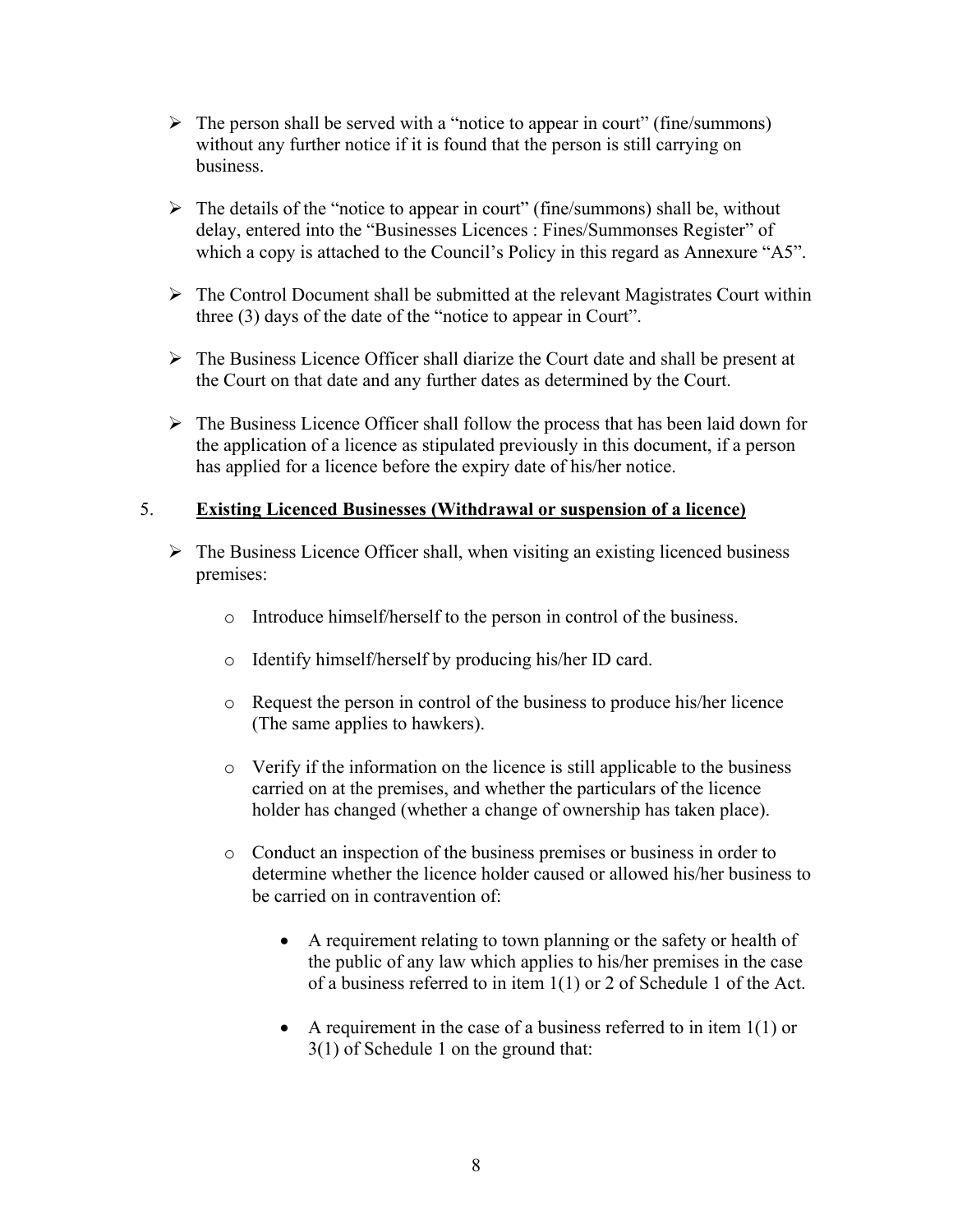- $\triangleright$  The person shall be served with a "notice to appear in court" (fine/summons) without any further notice if it is found that the person is still carrying on business.
- $\triangleright$  The details of the "notice to appear in court" (fine/summons) shall be, without delay, entered into the "Businesses Licences : Fines/Summonses Register" of which a copy is attached to the Council's Policy in this regard as Annexure "A5".
- $\triangleright$  The Control Document shall be submitted at the relevant Magistrates Court within three  $(3)$  days of the date of the "notice to appear in Court".
- $\triangleright$  The Business Licence Officer shall diarize the Court date and shall be present at the Court on that date and any further dates as determined by the Court.
- $\triangleright$  The Business Licence Officer shall follow the process that has been laid down for the application of a licence as stipulated previously in this document, if a person has applied for a licence before the expiry date of his/her notice.

## 5. **Existing Licenced Businesses (Withdrawal or suspension of a licence)**

- $\triangleright$  The Business Licence Officer shall, when visiting an existing licenced business premises:
	- o Introduce himself/herself to the person in control of the business.
	- o Identify himself/herself by producing his/her ID card.
	- o Request the person in control of the business to produce his/her licence (The same applies to hawkers).
	- o Verify if the information on the licence is still applicable to the business carried on at the premises, and whether the particulars of the licence holder has changed (whether a change of ownership has taken place).
	- o Conduct an inspection of the business premises or business in order to determine whether the licence holder caused or allowed his/her business to be carried on in contravention of:
		- A requirement relating to town planning or the safety or health of the public of any law which applies to his/her premises in the case of a business referred to in item 1(1) or 2 of Schedule 1 of the Act.
		- $\bullet$  A requirement in the case of a business referred to in item 1(1) or 3(1) of Schedule 1 on the ground that: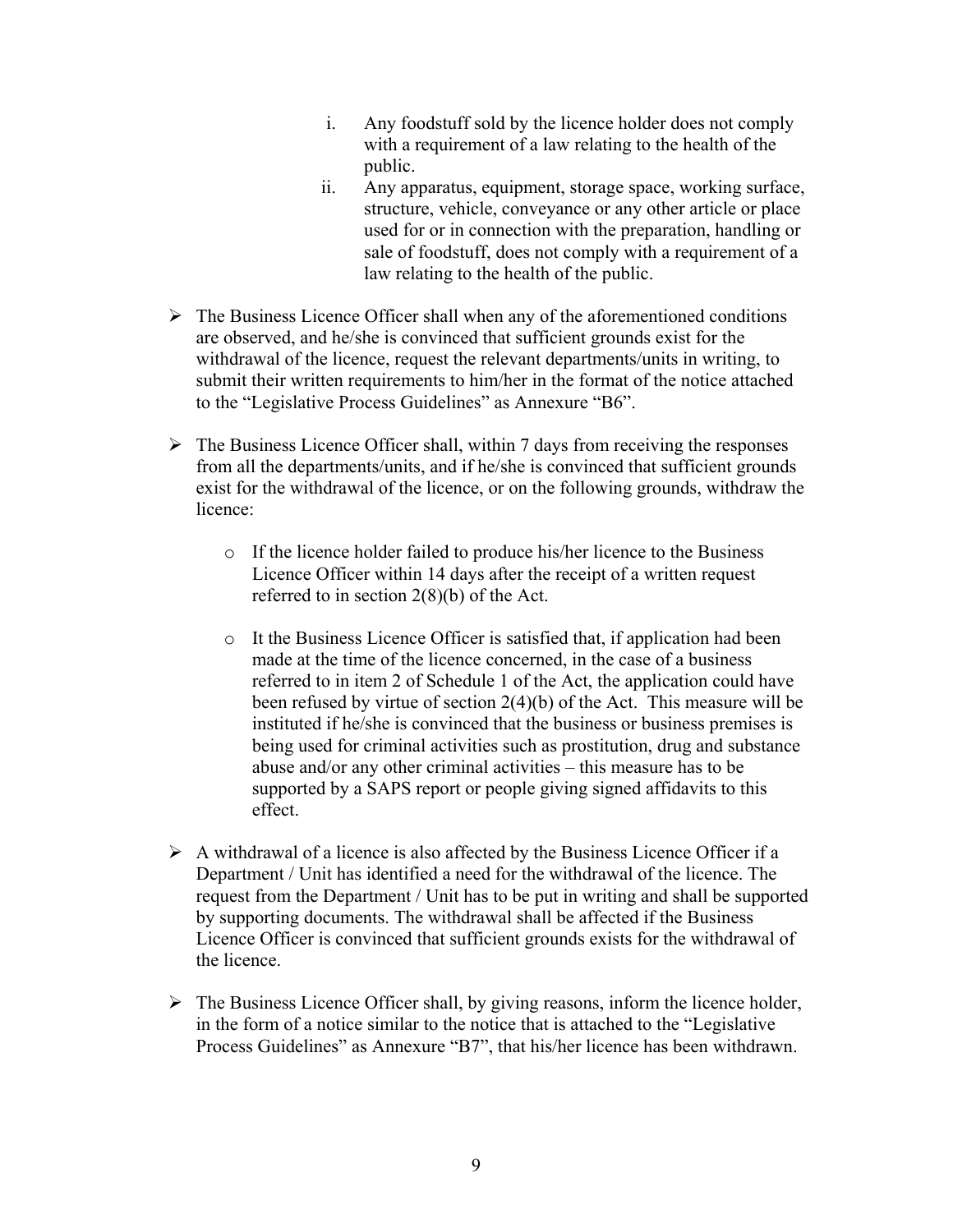- i. Any foodstuff sold by the licence holder does not comply with a requirement of a law relating to the health of the public.
- ii. Any apparatus, equipment, storage space, working surface, structure, vehicle, conveyance or any other article or place used for or in connection with the preparation, handling or sale of foodstuff, does not comply with a requirement of a law relating to the health of the public.
- $\triangleright$  The Business Licence Officer shall when any of the aforementioned conditions are observed, and he/she is convinced that sufficient grounds exist for the withdrawal of the licence, request the relevant departments/units in writing, to submit their written requirements to him/her in the format of the notice attached to the "Legislative Process Guidelines" as Annexure "B6".
- $\triangleright$  The Business Licence Officer shall, within 7 days from receiving the responses from all the departments/units, and if he/she is convinced that sufficient grounds exist for the withdrawal of the licence, or on the following grounds, withdraw the licence:
	- o If the licence holder failed to produce his/her licence to the Business Licence Officer within 14 days after the receipt of a written request referred to in section 2(8)(b) of the Act.
	- o It the Business Licence Officer is satisfied that, if application had been made at the time of the licence concerned, in the case of a business referred to in item 2 of Schedule 1 of the Act, the application could have been refused by virtue of section 2(4)(b) of the Act. This measure will be instituted if he/she is convinced that the business or business premises is being used for criminal activities such as prostitution, drug and substance abuse and/or any other criminal activities  $-$  this measure has to be supported by a SAPS report or people giving signed affidavits to this effect.
- $\triangleright$  A withdrawal of a licence is also affected by the Business Licence Officer if a Department / Unit has identified a need for the withdrawal of the licence. The request from the Department / Unit has to be put in writing and shall be supported by supporting documents. The withdrawal shall be affected if the Business Licence Officer is convinced that sufficient grounds exists for the withdrawal of the licence.
- $\triangleright$  The Business Licence Officer shall, by giving reasons, inform the licence holder, in the form of a notice similar to the notice that is attached to the "Legislative" Process Guidelines" as Annexure "B7", that his/her licence has been withdrawn.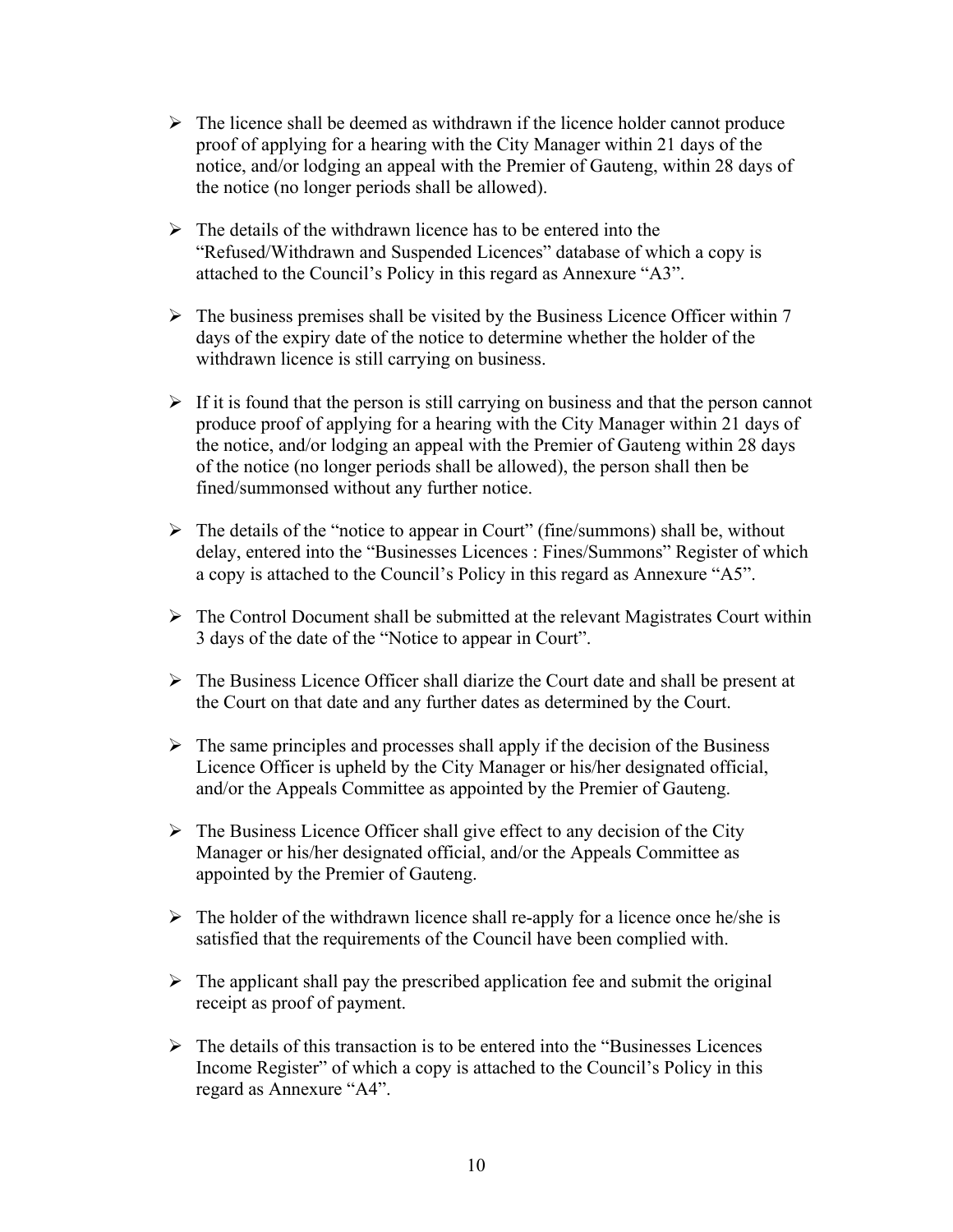- $\triangleright$  The licence shall be deemed as withdrawn if the licence holder cannot produce proof of applying for a hearing with the City Manager within 21 days of the notice, and/or lodging an appeal with the Premier of Gauteng, within 28 days of the notice (no longer periods shall be allowed).
- $\triangleright$  The details of the withdrawn licence has to be entered into the "Refused/Withdrawn and Suspended Licences" database of which a copy is attached to the Council's Policy in this regard as Annexure "A3".
- $\triangleright$  The business premises shall be visited by the Business Licence Officer within 7 days of the expiry date of the notice to determine whether the holder of the withdrawn licence is still carrying on business.
- $\triangleright$  If it is found that the person is still carrying on business and that the person cannot produce proof of applying for a hearing with the City Manager within 21 days of the notice, and/or lodging an appeal with the Premier of Gauteng within 28 days of the notice (no longer periods shall be allowed), the person shall then be fined/summonsed without any further notice.
- $\triangleright$  The details of the "notice to appear in Court" (fine/summons) shall be, without delay, entered into the "Businesses Licences : Fines/Summons" Register of which a copy is attached to the Council's Policy in this regard as Annexure "A5".
- $\triangleright$  The Control Document shall be submitted at the relevant Magistrates Court within 3 days of the date of the "Notice to appear in Court".
- $\triangleright$  The Business Licence Officer shall diarize the Court date and shall be present at the Court on that date and any further dates as determined by the Court.
- $\triangleright$  The same principles and processes shall apply if the decision of the Business Licence Officer is upheld by the City Manager or his/her designated official, and/or the Appeals Committee as appointed by the Premier of Gauteng.
- $\triangleright$  The Business Licence Officer shall give effect to any decision of the City Manager or his/her designated official, and/or the Appeals Committee as appointed by the Premier of Gauteng.
- $\triangleright$  The holder of the withdrawn licence shall re-apply for a licence once he/she is satisfied that the requirements of the Council have been complied with.
- $\triangleright$  The applicant shall pay the prescribed application fee and submit the original receipt as proof of payment.
- $\triangleright$  The details of this transaction is to be entered into the "Businesses Licences" Income Register" of which a copy is attached to the Council's Policy in this regard as Annexure "A4".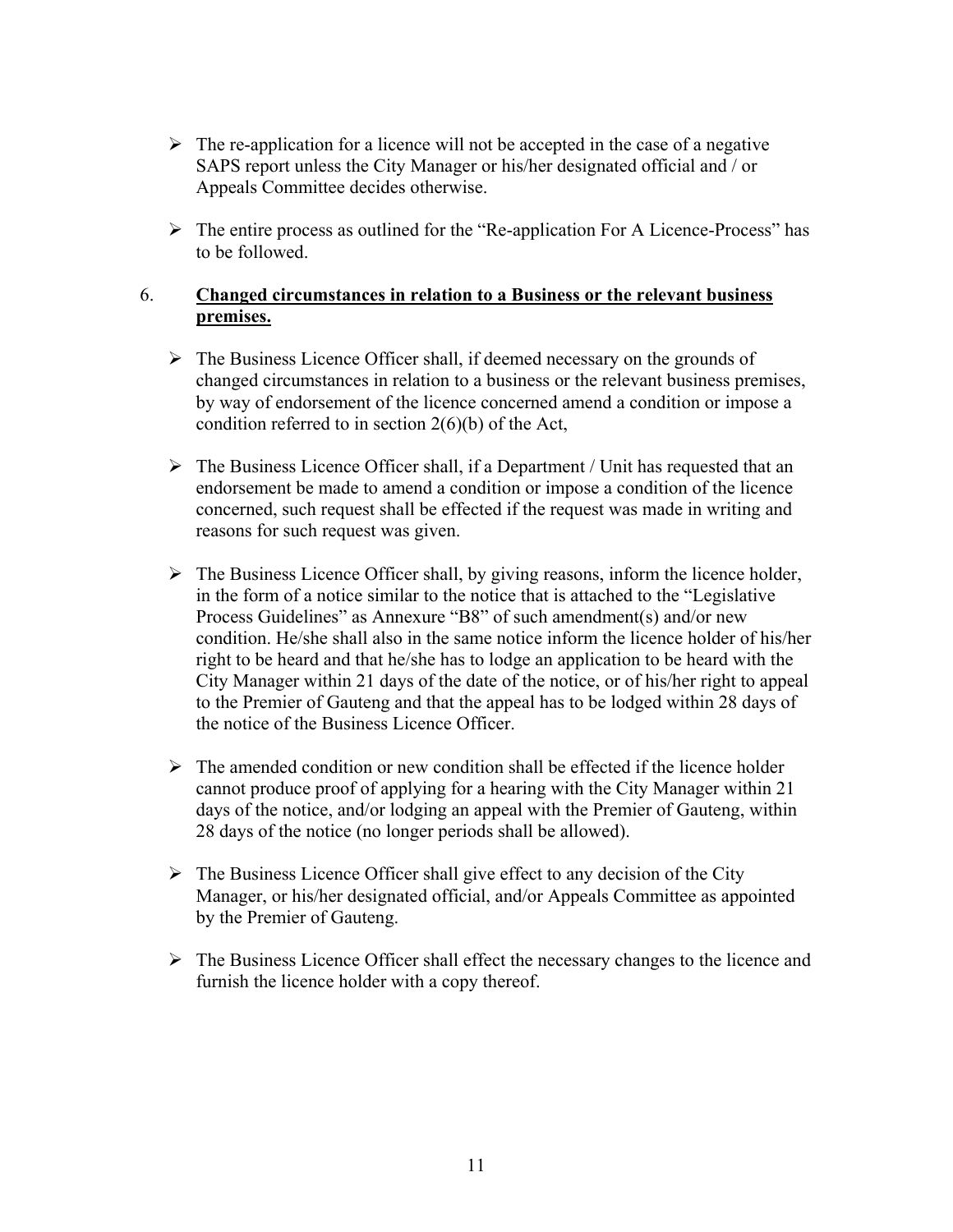- $\triangleright$  The re-application for a licence will not be accepted in the case of a negative SAPS report unless the City Manager or his/her designated official and / or Appeals Committee decides otherwise.
- $\triangleright$  The entire process as outlined for the "Re-application For A Licence-Process" has to be followed.

#### 6. **Changed circumstances in relation to a Business or the relevant business premises.**

- $\triangleright$  The Business Licence Officer shall, if deemed necessary on the grounds of changed circumstances in relation to a business or the relevant business premises, by way of endorsement of the licence concerned amend a condition or impose a condition referred to in section 2(6)(b) of the Act,
- $\triangleright$  The Business Licence Officer shall, if a Department / Unit has requested that an endorsement be made to amend a condition or impose a condition of the licence concerned, such request shall be effected if the request was made in writing and reasons for such request was given.
- $\triangleright$  The Business Licence Officer shall, by giving reasons, inform the licence holder, in the form of a notice similar to the notice that is attached to the "Legislative" Process Guidelines" as Annexure "B8" of such amendment(s) and/or new condition. He/she shall also in the same notice inform the licence holder of his/her right to be heard and that he/she has to lodge an application to be heard with the City Manager within 21 days of the date of the notice, or of his/her right to appeal to the Premier of Gauteng and that the appeal has to be lodged within 28 days of the notice of the Business Licence Officer.
- $\triangleright$  The amended condition or new condition shall be effected if the licence holder cannot produce proof of applying for a hearing with the City Manager within 21 days of the notice, and/or lodging an appeal with the Premier of Gauteng, within 28 days of the notice (no longer periods shall be allowed).
- $\triangleright$  The Business Licence Officer shall give effect to any decision of the City Manager, or his/her designated official, and/or Appeals Committee as appointed by the Premier of Gauteng.
- $\triangleright$  The Business Licence Officer shall effect the necessary changes to the licence and furnish the licence holder with a copy thereof.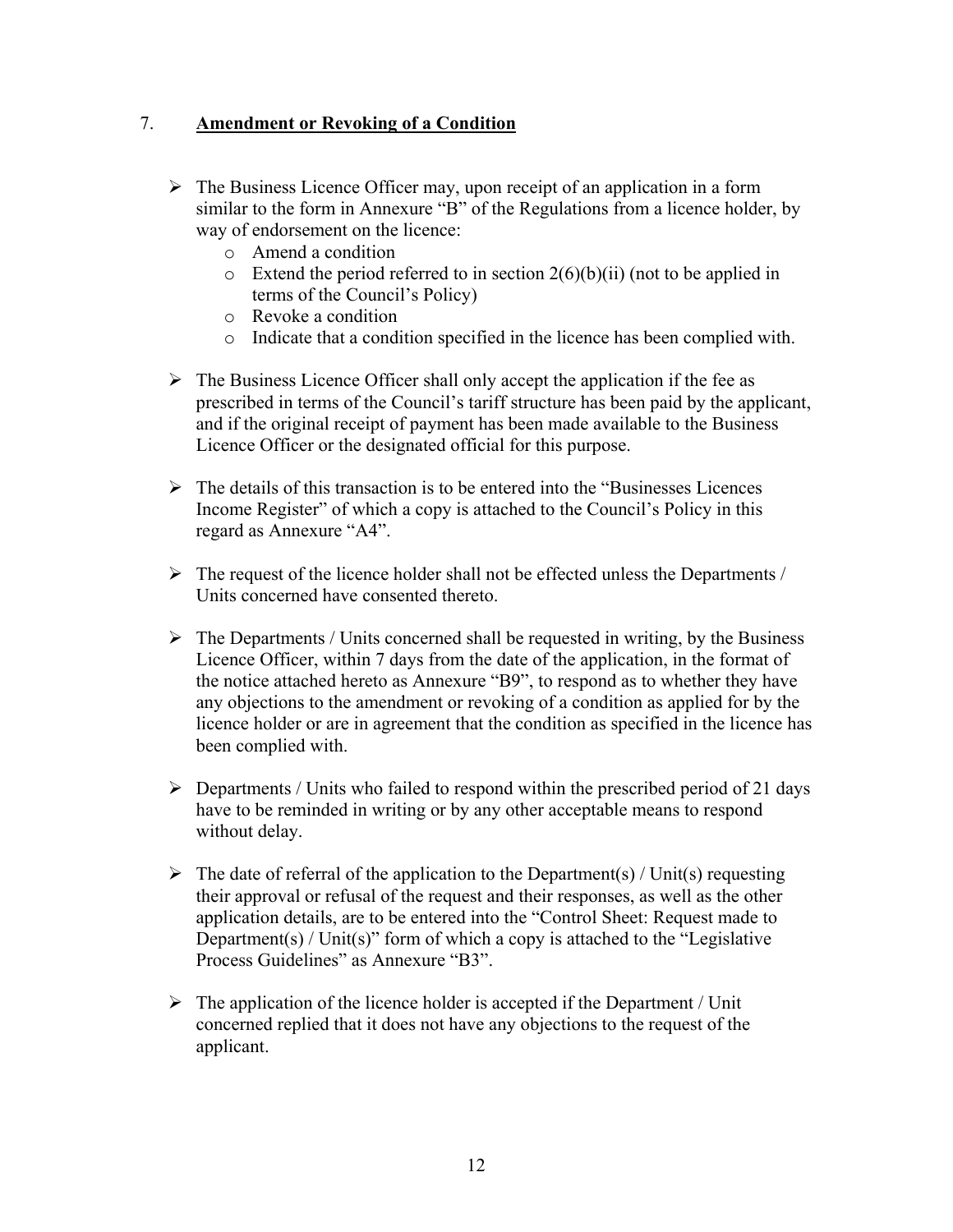## 7. **Amendment or Revoking of a Condition**

- $\triangleright$  The Business Licence Officer may, upon receipt of an application in a form similar to the form in Annexure "B" of the Regulations from a licence holder, by way of endorsement on the licence:
	- o Amend a condition
	- $\circ$  Extend the period referred to in section 2(6)(b)(ii) (not to be applied in terms of the Council's Policy)
	- o Revoke a condition
	- o Indicate that a condition specified in the licence has been complied with.
- $\triangleright$  The Business Licence Officer shall only accept the application if the fee as prescribed in terms of the Council's tariff structure has been paid by the applicant, and if the original receipt of payment has been made available to the Business Licence Officer or the designated official for this purpose.
- $\triangleright$  The details of this transaction is to be entered into the "Businesses Licences" Income Register" of which a copy is attached to the Council's Policy in this regard as Annexure "A4".
- $\triangleright$  The request of the licence holder shall not be effected unless the Departments / Units concerned have consented thereto.
- $\triangleright$  The Departments / Units concerned shall be requested in writing, by the Business Licence Officer, within 7 days from the date of the application, in the format of the notice attached hereto as Annexure "B9", to respond as to whether they have any objections to the amendment or revoking of a condition as applied for by the licence holder or are in agreement that the condition as specified in the licence has been complied with.
- $\triangleright$  Departments / Units who failed to respond within the prescribed period of 21 days have to be reminded in writing or by any other acceptable means to respond without delay.
- $\triangleright$  The date of referral of the application to the Department(s) / Unit(s) requesting their approval or refusal of the request and their responses, as well as the other application details, are to be entered into the "Control Sheet: Request made to Department(s) / Unit(s)" form of which a copy is attached to the "Legislative" Process Guidelines" as Annexure "B3".
- $\triangleright$  The application of the licence holder is accepted if the Department / Unit concerned replied that it does not have any objections to the request of the applicant.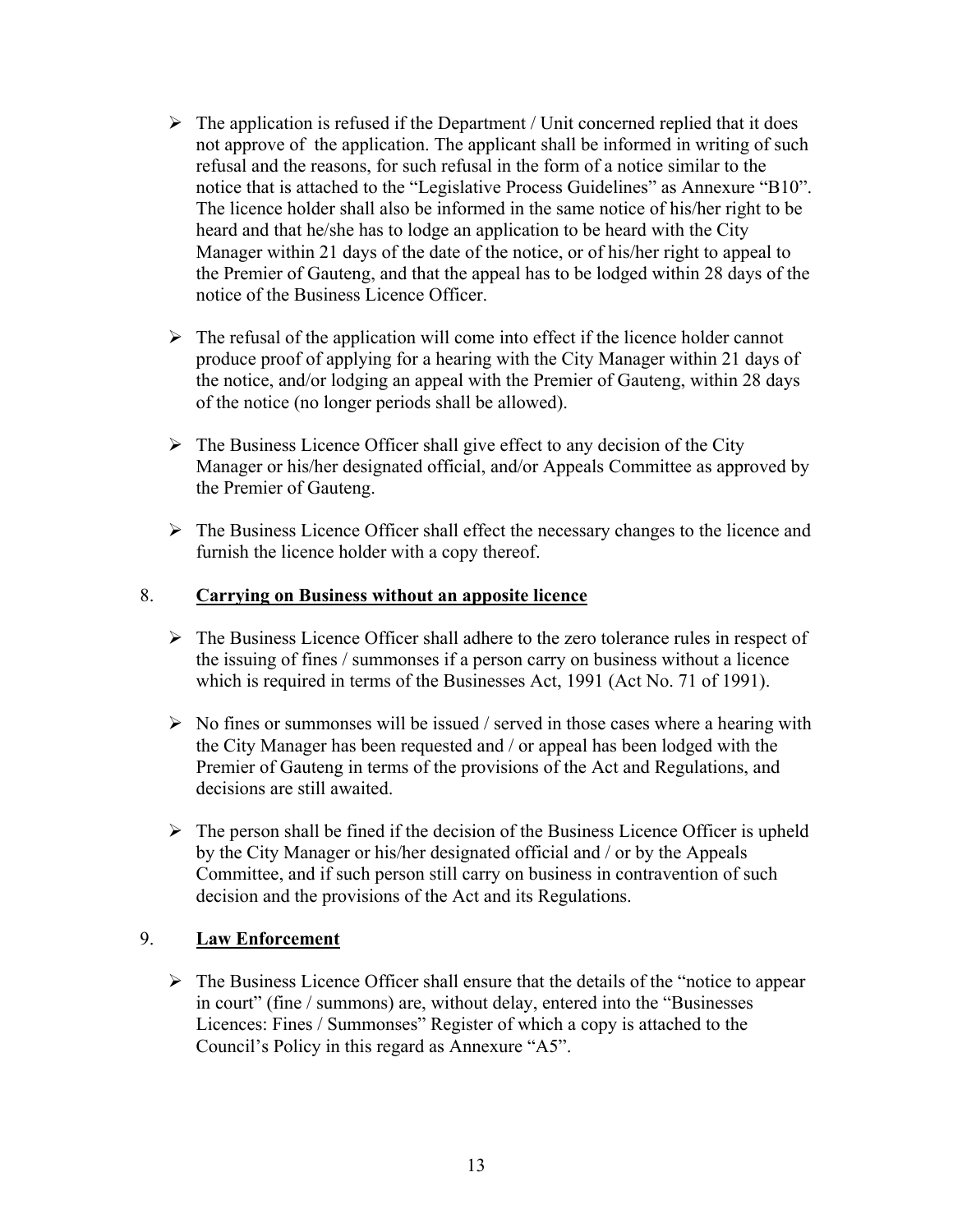- $\triangleright$  The application is refused if the Department / Unit concerned replied that it does not approve of the application. The applicant shall be informed in writing of such refusal and the reasons, for such refusal in the form of a notice similar to the notice that is attached to the "Legislative Process Guidelines" as Annexure "B10". The licence holder shall also be informed in the same notice of his/her right to be heard and that he/she has to lodge an application to be heard with the City Manager within 21 days of the date of the notice, or of his/her right to appeal to the Premier of Gauteng, and that the appeal has to be lodged within 28 days of the notice of the Business Licence Officer.
- $\triangleright$  The refusal of the application will come into effect if the licence holder cannot produce proof of applying for a hearing with the City Manager within 21 days of the notice, and/or lodging an appeal with the Premier of Gauteng, within 28 days of the notice (no longer periods shall be allowed).
- $\triangleright$  The Business Licence Officer shall give effect to any decision of the City Manager or his/her designated official, and/or Appeals Committee as approved by the Premier of Gauteng.
- $\triangleright$  The Business Licence Officer shall effect the necessary changes to the licence and furnish the licence holder with a copy thereof.

## 8. **Carrying on Business without an apposite licence**

- $\triangleright$  The Business Licence Officer shall adhere to the zero tolerance rules in respect of the issuing of fines / summonses if a person carry on business without a licence which is required in terms of the Businesses Act, 1991 (Act No. 71 of 1991).
- $\triangleright$  No fines or summonses will be issued / served in those cases where a hearing with the City Manager has been requested and / or appeal has been lodged with the Premier of Gauteng in terms of the provisions of the Act and Regulations, and decisions are still awaited.
- $\triangleright$  The person shall be fined if the decision of the Business Licence Officer is upheld by the City Manager or his/her designated official and / or by the Appeals Committee, and if such person still carry on business in contravention of such decision and the provisions of the Act and its Regulations.

## 9. **Law Enforcement**

 $\triangleright$  The Business Licence Officer shall ensure that the details of the "notice to appear" in court" (fine / summons) are, without delay, entered into the "Businesses" Licences: Fines / Summonses" Register of which a copy is attached to the Council's Policy in this regard as Annexure "A5".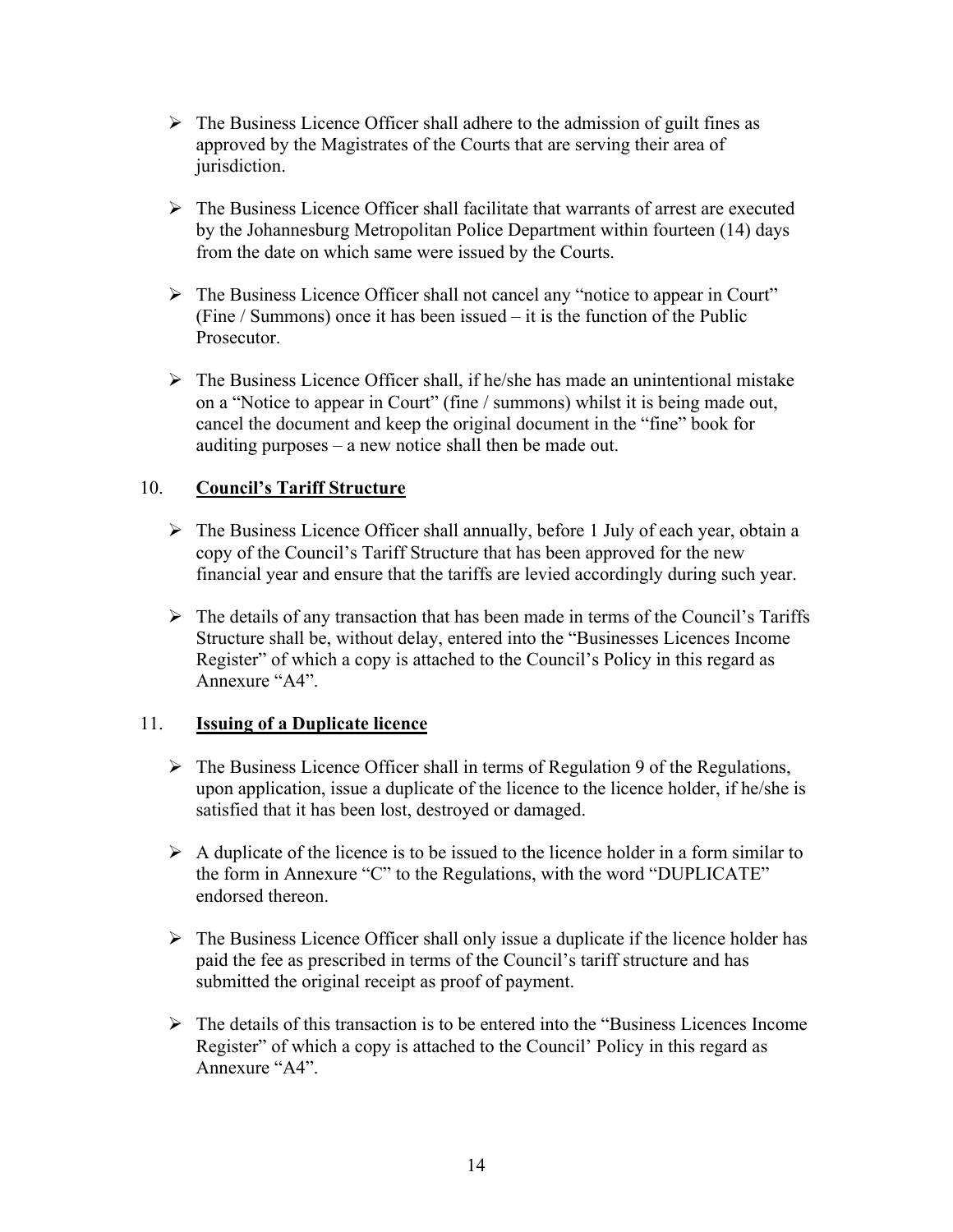- $\triangleright$  The Business Licence Officer shall adhere to the admission of guilt fines as approved by the Magistrates of the Courts that are serving their area of jurisdiction.
- $\triangleright$  The Business Licence Officer shall facilitate that warrants of arrest are executed by the Johannesburg Metropolitan Police Department within fourteen (14) days from the date on which same were issued by the Courts.
- $\triangleright$  The Business Licence Officer shall not cancel any "notice to appear in Court" (Fine / Summons) once it has been issued  $-$  it is the function of the Public **Prosecutor**
- $\triangleright$  The Business Licence Officer shall, if he/she has made an unintentional mistake on a "Notice to appear in Court" (fine / summons) whilst it is being made out, cancel the document and keep the original document in the "fine" book for auditing purposes  $-$  a new notice shall then be made out.

## 10. **Council's Tariff Structure**

- $\triangleright$  The Business Licence Officer shall annually, before 1 July of each year, obtain a copy of the Council's Tariff Structure that has been approved for the new financial year and ensure that the tariffs are levied accordingly during such year.
- $\triangleright$  The details of any transaction that has been made in terms of the Council's Tariffs Structure shall be, without delay, entered into the "Businesses Licences Income" Register" of which a copy is attached to the Council's Policy in this regard as Annexure " $A4$ "

## 11. **Issuing of a Duplicate licence**

- $\triangleright$  The Business Licence Officer shall in terms of Regulation 9 of the Regulations, upon application, issue a duplicate of the licence to the licence holder, if he/she is satisfied that it has been lost, destroyed or damaged.
- $\triangleright$  A duplicate of the licence is to be issued to the licence holder in a form similar to the form in Annexure "C" to the Regulations, with the word "DUPLICATE" endorsed thereon.
- $\triangleright$  The Business Licence Officer shall only issue a duplicate if the licence holder has paid the fee as prescribed in terms of the Council's tariff structure and has submitted the original receipt as proof of payment.
- $\triangleright$  The details of this transaction is to be entered into the "Business Licences Income" Register" of which a copy is attached to the Council" Policy in this regard as Annexure "A4"